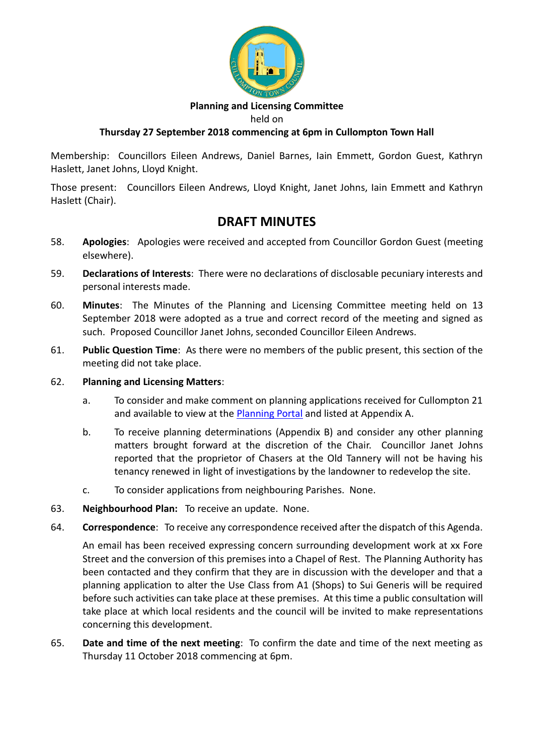

## **Planning and Licensing Committee**

held on

# **Thursday 27 September 2018 commencing at 6pm in Cullompton Town Hall**

Membership: Councillors Eileen Andrews, Daniel Barnes, Iain Emmett, Gordon Guest, Kathryn Haslett, Janet Johns, Lloyd Knight.

Those present: Councillors Eileen Andrews, Lloyd Knight, Janet Johns, Iain Emmett and Kathryn Haslett (Chair).

# **DRAFT MINUTES**

- 58. **Apologies**: Apologies were received and accepted from Councillor Gordon Guest (meeting elsewhere).
- 59. **Declarations of Interests**: There were no declarations of disclosable pecuniary interests and personal interests made.
- 60. **Minutes**: The Minutes of the Planning and Licensing Committee meeting held on 13 September 2018 were adopted as a true and correct record of the meeting and signed as such. Proposed Councillor Janet Johns, seconded Councillor Eileen Andrews.
- 61. **Public Question Time**: As there were no members of the public present, this section of the meeting did not take place.

# 62. **Planning and Licensing Matters**:

- a. To consider and make comment on planning applications received for Cullompton 21 and available to view at the [Planning Portal](https://planning.middevon.gov.uk/online-applications/search.do?action=simple&searchType=BuildingControl) and listed at Appendix A.
- b. To receive planning determinations (Appendix B) and consider any other planning matters brought forward at the discretion of the Chair. Councillor Janet Johns reported that the proprietor of Chasers at the Old Tannery will not be having his tenancy renewed in light of investigations by the landowner to redevelop the site.
- c. To consider applications from neighbouring Parishes. None.
- 63. **Neighbourhood Plan:** To receive an update. None.
- 64. **Correspondence**: To receive any correspondence received after the dispatch of this Agenda.

An email has been received expressing concern surrounding development work at xx Fore Street and the conversion of this premises into a Chapel of Rest. The Planning Authority has been contacted and they confirm that they are in discussion with the developer and that a planning application to alter the Use Class from A1 (Shops) to Sui Generis will be required before such activities can take place at these premises. At this time a public consultation will take place at which local residents and the council will be invited to make representations concerning this development.

65. **Date and time of the next meeting**: To confirm the date and time of the next meeting as Thursday 11 October 2018 commencing at 6pm.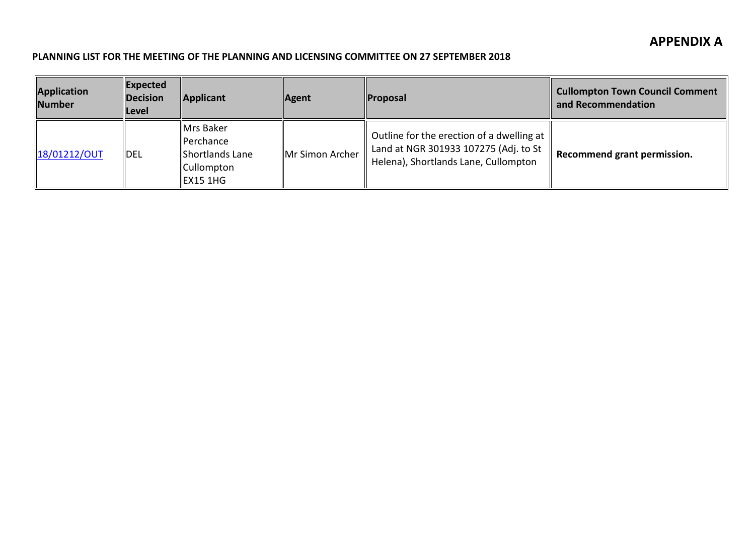## **PLANNING LIST FOR THE MEETING OF THE PLANNING AND LICENSING COMMITTEE ON 27 SEPTEMBER 2018**

| Application<br><b>Number</b> | $ $ Expected<br>Decision<br><b>Level</b> | Applicant                                                                              | <b>Agent</b>    | <b>Proposal</b>                                                                                                            | <b>Cullompton Town Council Comment</b><br>and Recommendation |
|------------------------------|------------------------------------------|----------------------------------------------------------------------------------------|-----------------|----------------------------------------------------------------------------------------------------------------------------|--------------------------------------------------------------|
| 18/01212/OUT                 | <b>IDEL</b>                              | Mrs Baker<br><b>IPerchance</b><br>Shortlands Lane<br><b>Cullompton</b><br>$I$ EX15 1HG | Mr Simon Archer | Outline for the erection of a dwelling at<br>Land at NGR 301933 107275 (Adj. to St<br>Helena), Shortlands Lane, Cullompton | Recommend grant permission.                                  |